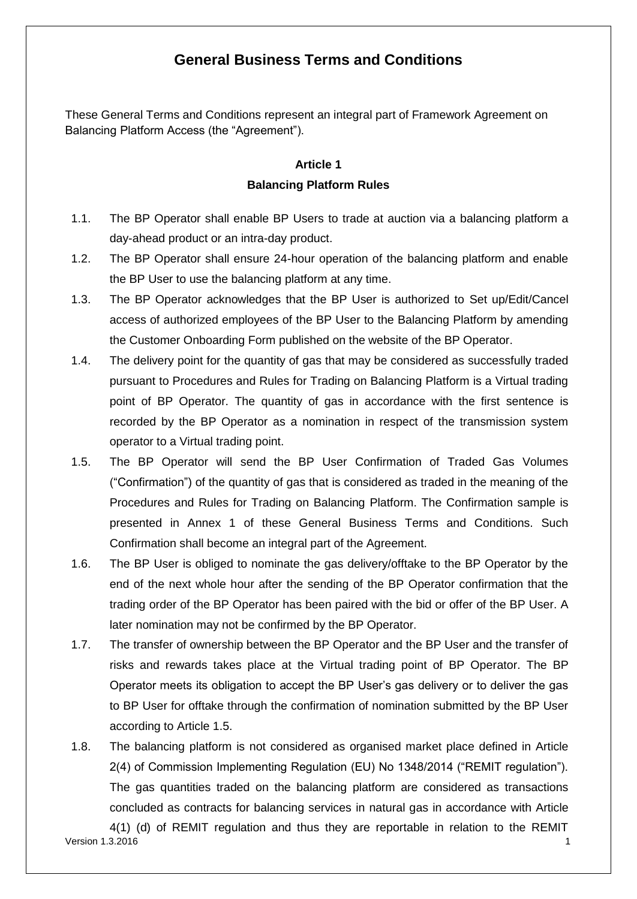## **General Business Terms and Conditions**

These General Terms and Conditions represent an integral part of Framework Agreement on Balancing Platform Access (the "Agreement").

#### **Article 1 Balancing Platform Rules**

- 1.1. The BP Operator shall enable BP Users to trade at auction via a balancing platform a day-ahead product or an intra-day product.
- 1.2. The BP Operator shall ensure 24-hour operation of the balancing platform and enable the BP User to use the balancing platform at any time.
- 1.3. The BP Operator acknowledges that the BP User is authorized to Set up/Edit/Cancel access of authorized employees of the BP User to the Balancing Platform by amending the Customer Onboarding Form published on the website of the BP Operator.
- 1.4. The delivery point for the quantity of gas that may be considered as successfully traded pursuant to Procedures and Rules for Trading on Balancing Platform is a Virtual trading point of BP Operator. The quantity of gas in accordance with the first sentence is recorded by the BP Operator as a nomination in respect of the transmission system operator to a Virtual trading point.
- 1.5. The BP Operator will send the BP User Confirmation of Traded Gas Volumes ("Confirmation") of the quantity of gas that is considered as traded in the meaning of the Procedures and Rules for Trading on Balancing Platform. The Confirmation sample is presented in Annex 1 of these General Business Terms and Conditions. Such Confirmation shall become an integral part of the Agreement.
- 1.6. The BP User is obliged to nominate the gas delivery/offtake to the BP Operator by the end of the next whole hour after the sending of the BP Operator confirmation that the trading order of the BP Operator has been paired with the bid or offer of the BP User. A later nomination may not be confirmed by the BP Operator.
- 1.7. The transfer of ownership between the BP Operator and the BP User and the transfer of risks and rewards takes place at the Virtual trading point of BP Operator. The BP Operator meets its obligation to accept the BP User's gas delivery or to deliver the gas to BP User for offtake through the confirmation of nomination submitted by the BP User according to Article 1.5.
- 1.8. The balancing platform is not considered as organised market place defined in Article 2(4) of Commission Implementing Regulation (EU) No 1348/2014 ("REMIT regulation"). The gas quantities traded on the balancing platform are considered as transactions concluded as contracts for balancing services in natural gas in accordance with Article

version 1.3.2016 **1.2.2018** 1.2.2018 1.2.2018 1.2.2018 1.2.2019 1.2.2019 1.2.2019 1.2.2019 1.2.2019 1.2.2019 1.2.2019 1.2.2019 1.2.2019 1.2.2019 1.2.2019 1.2.2019 1.2.2019 1.2.2019 1.2.2019 1.2.2019 1.2.2019 1.2.2019 1.2.2 4(1) (d) of REMIT regulation and thus they are reportable in relation to the REMIT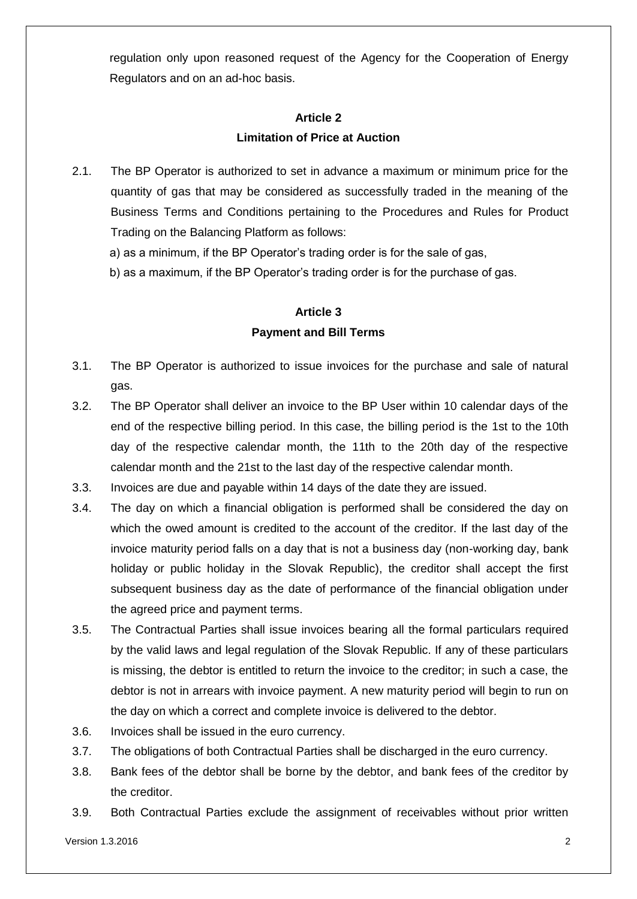regulation only upon reasoned request of the Agency for the Cooperation of Energy Regulators and on an ad-hoc basis.

## **Article 2 Limitation of Price at Auction**

- 2.1. The BP Operator is authorized to set in advance a maximum or minimum price for the quantity of gas that may be considered as successfully traded in the meaning of the Business Terms and Conditions pertaining to the Procedures and Rules for Product Trading on the Balancing Platform as follows:
	- a) as a minimum, if the BP Operator's trading order is for the sale of gas,
	- b) as a maximum, if the BP Operator's trading order is for the purchase of gas.

#### **Article 3 Payment and Bill Terms**

- 3.1. The BP Operator is authorized to issue invoices for the purchase and sale of natural gas.
- 3.2. The BP Operator shall deliver an invoice to the BP User within 10 calendar days of the end of the respective billing period. In this case, the billing period is the 1st to the 10th day of the respective calendar month, the 11th to the 20th day of the respective calendar month and the 21st to the last day of the respective calendar month.
- 3.3. Invoices are due and payable within 14 days of the date they are issued.
- 3.4. The day on which a financial obligation is performed shall be considered the day on which the owed amount is credited to the account of the creditor. If the last day of the invoice maturity period falls on a day that is not a business day (non-working day, bank holiday or public holiday in the Slovak Republic), the creditor shall accept the first subsequent business day as the date of performance of the financial obligation under the agreed price and payment terms.
- 3.5. The Contractual Parties shall issue invoices bearing all the formal particulars required by the valid laws and legal regulation of the Slovak Republic. If any of these particulars is missing, the debtor is entitled to return the invoice to the creditor; in such a case, the debtor is not in arrears with invoice payment. A new maturity period will begin to run on the day on which a correct and complete invoice is delivered to the debtor.
- 3.6. Invoices shall be issued in the euro currency.
- 3.7. The obligations of both Contractual Parties shall be discharged in the euro currency.
- 3.8. Bank fees of the debtor shall be borne by the debtor, and bank fees of the creditor by the creditor.
- 3.9. Both Contractual Parties exclude the assignment of receivables without prior written

Version 1.3.2016 2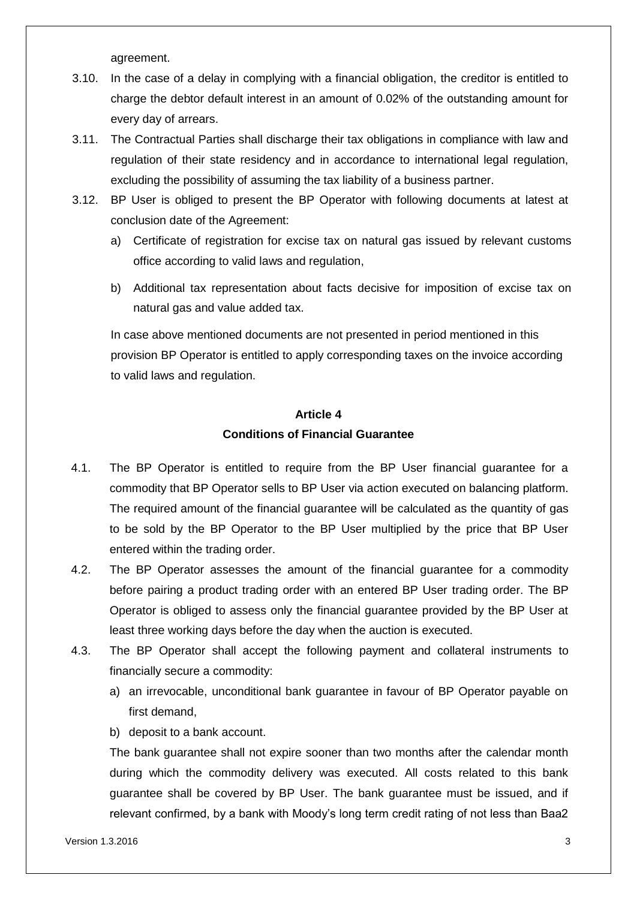agreement.

- 3.10. In the case of a delay in complying with a financial obligation, the creditor is entitled to charge the debtor default interest in an amount of 0.02% of the outstanding amount for every day of arrears.
- 3.11. The Contractual Parties shall discharge their tax obligations in compliance with law and regulation of their state residency and in accordance to international legal regulation, excluding the possibility of assuming the tax liability of a business partner.
- 3.12. BP User is obliged to present the BP Operator with following documents at latest at conclusion date of the Agreement:
	- a) Certificate of registration for excise tax on natural gas issued by relevant customs office according to valid laws and regulation,
	- b) Additional tax representation about facts decisive for imposition of excise tax on natural gas and value added tax.

In case above mentioned documents are not presented in period mentioned in this provision BP Operator is entitled to apply corresponding taxes on the invoice according to valid laws and regulation.

## **Article 4 Conditions of Financial Guarantee**

- 4.1. The BP Operator is entitled to require from the BP User financial guarantee for a commodity that BP Operator sells to BP User via action executed on balancing platform. The required amount of the financial guarantee will be calculated as the quantity of gas to be sold by the BP Operator to the BP User multiplied by the price that BP User entered within the trading order.
- 4.2. The BP Operator assesses the amount of the financial guarantee for a commodity before pairing a product trading order with an entered BP User trading order. The BP Operator is obliged to assess only the financial guarantee provided by the BP User at least three working days before the day when the auction is executed.
- 4.3. The BP Operator shall accept the following payment and collateral instruments to financially secure a commodity:
	- a) an irrevocable, unconditional bank guarantee in favour of BP Operator payable on first demand,
	- b) deposit to a bank account.

The bank guarantee shall not expire sooner than two months after the calendar month during which the commodity delivery was executed. All costs related to this bank guarantee shall be covered by BP User. The bank guarantee must be issued, and if relevant confirmed, by a bank with Moody's long term credit rating of not less than Baa2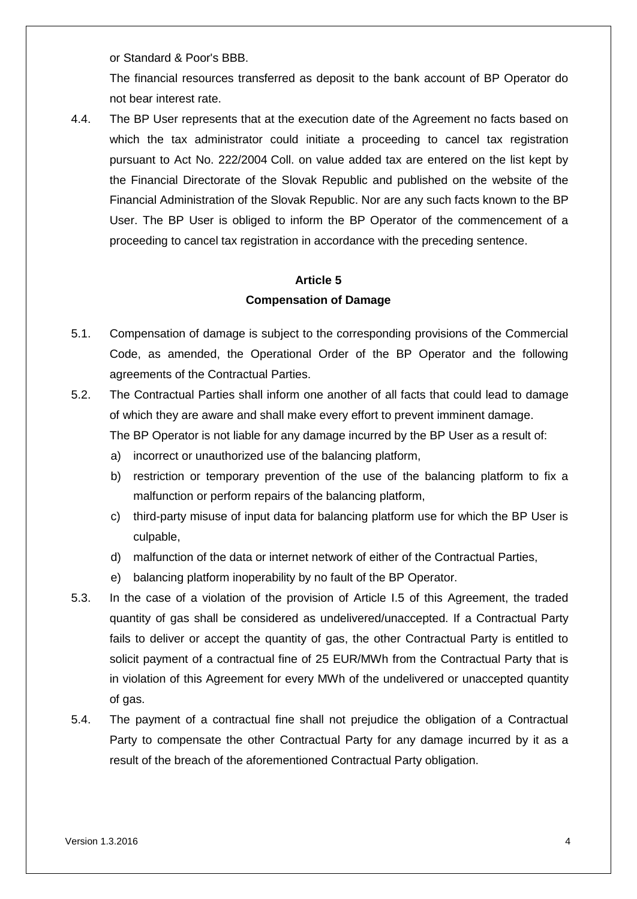or Standard & Poor's BBB.

The financial resources transferred as deposit to the bank account of BP Operator do not bear interest rate.

4.4. The BP User represents that at the execution date of the Agreement no facts based on which the tax administrator could initiate a proceeding to cancel tax registration pursuant to Act No. 222/2004 Coll. on value added tax are entered on the list kept by the Financial Directorate of the Slovak Republic and published on the website of the Financial Administration of the Slovak Republic. Nor are any such facts known to the BP User. The BP User is obliged to inform the BP Operator of the commencement of a proceeding to cancel tax registration in accordance with the preceding sentence.

#### **Article 5 Compensation of Damage**

- 5.1. Compensation of damage is subject to the corresponding provisions of the Commercial Code, as amended, the Operational Order of the BP Operator and the following agreements of the Contractual Parties.
- 5.2. The Contractual Parties shall inform one another of all facts that could lead to damage of which they are aware and shall make every effort to prevent imminent damage. The BP Operator is not liable for any damage incurred by the BP User as a result of:
	- a) incorrect or unauthorized use of the balancing platform,
	- b) restriction or temporary prevention of the use of the balancing platform to fix a malfunction or perform repairs of the balancing platform,
	- c) third-party misuse of input data for balancing platform use for which the BP User is culpable,
	- d) malfunction of the data or internet network of either of the Contractual Parties,
	- e) balancing platform inoperability by no fault of the BP Operator.
- 5.3. In the case of a violation of the provision of Article I.5 of this Agreement, the traded quantity of gas shall be considered as undelivered/unaccepted. If a Contractual Party fails to deliver or accept the quantity of gas, the other Contractual Party is entitled to solicit payment of a contractual fine of 25 EUR/MWh from the Contractual Party that is in violation of this Agreement for every MWh of the undelivered or unaccepted quantity of gas.
- 5.4. The payment of a contractual fine shall not prejudice the obligation of a Contractual Party to compensate the other Contractual Party for any damage incurred by it as a result of the breach of the aforementioned Contractual Party obligation.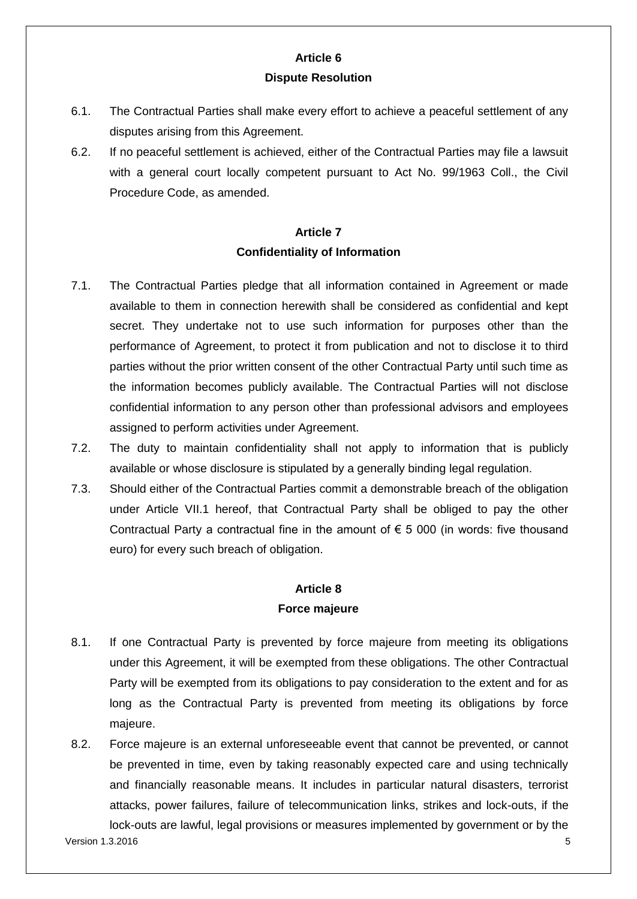#### **Article 6 Dispute Resolution**

- 6.1. The Contractual Parties shall make every effort to achieve a peaceful settlement of any disputes arising from this Agreement.
- 6.2. If no peaceful settlement is achieved, either of the Contractual Parties may file a lawsuit with a general court locally competent pursuant to Act No. 99/1963 Coll., the Civil Procedure Code, as amended.

## **Article 7 Confidentiality of Information**

- 7.1. The Contractual Parties pledge that all information contained in Agreement or made available to them in connection herewith shall be considered as confidential and kept secret. They undertake not to use such information for purposes other than the performance of Agreement, to protect it from publication and not to disclose it to third parties without the prior written consent of the other Contractual Party until such time as the information becomes publicly available. The Contractual Parties will not disclose confidential information to any person other than professional advisors and employees assigned to perform activities under Agreement.
- 7.2. The duty to maintain confidentiality shall not apply to information that is publicly available or whose disclosure is stipulated by a generally binding legal regulation.
- 7.3. Should either of the Contractual Parties commit a demonstrable breach of the obligation under Article VII.1 hereof, that Contractual Party shall be obliged to pay the other Contractual Party a contractual fine in the amount of  $\epsilon$  5 000 (in words: five thousand euro) for every such breach of obligation.

#### **Article 8 Force majeure**

- 8.1. If one Contractual Party is prevented by force majeure from meeting its obligations under this Agreement, it will be exempted from these obligations. The other Contractual Party will be exempted from its obligations to pay consideration to the extent and for as long as the Contractual Party is prevented from meeting its obligations by force majeure.
- $V$ ersion 1.3.2016  $\overline{\phantom{0}}$  5 8.2. Force majeure is an external unforeseeable event that cannot be prevented, or cannot be prevented in time, even by taking reasonably expected care and using technically and financially reasonable means. It includes in particular natural disasters, terrorist attacks, power failures, failure of telecommunication links, strikes and lock-outs, if the lock-outs are lawful, legal provisions or measures implemented by government or by the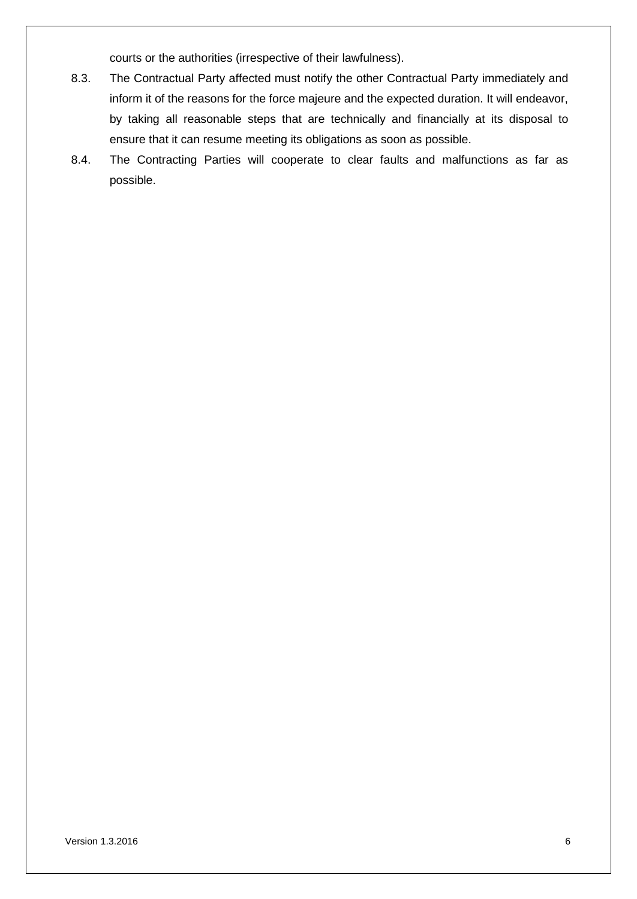courts or the authorities (irrespective of their lawfulness).

- 8.3. The Contractual Party affected must notify the other Contractual Party immediately and inform it of the reasons for the force majeure and the expected duration. It will endeavor, by taking all reasonable steps that are technically and financially at its disposal to ensure that it can resume meeting its obligations as soon as possible.
- 8.4. The Contracting Parties will cooperate to clear faults and malfunctions as far as possible.